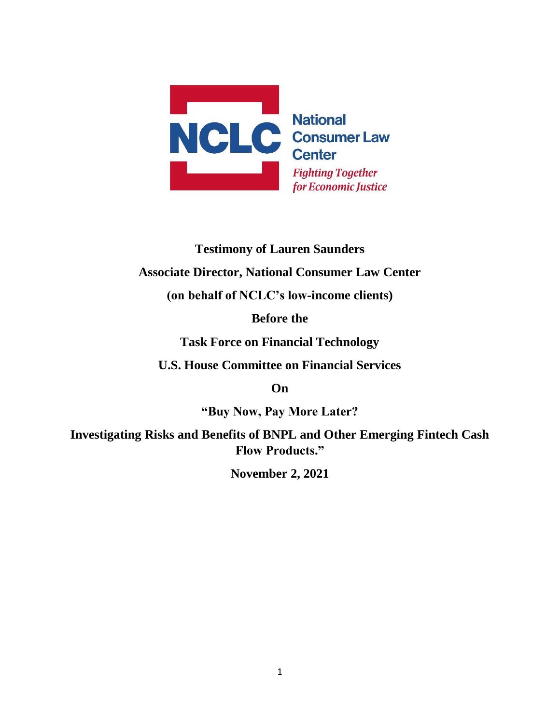

# **Testimony of Lauren Saunders**

## **Associate Director, National Consumer Law Center**

**(on behalf of NCLC's low-income clients)**

**Before the**

**Task Force on Financial Technology**

**U.S. House Committee on Financial Services**

**On**

**"Buy Now, Pay More Later?** 

**Investigating Risks and Benefits of BNPL and Other Emerging Fintech Cash Flow Products."**

**November 2, 2021**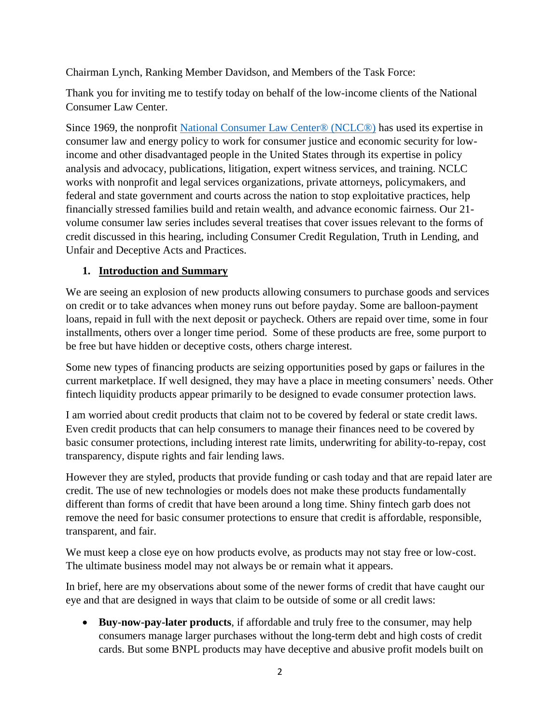Chairman Lynch, Ranking Member Davidson, and Members of the Task Force:

Thank you for inviting me to testify today on behalf of the low-income clients of the National Consumer Law Center.

Since 1969, the nonprofit [National Consumer Law Center® \(NCLC®\)](http://www.google.com/url?q=http%3A%2F%2Fwww.nclc.org&sa=D&sntz=1&usg=AFQjCNHtVu9rfpZE2JLllh6docY9ZooDSw) has used its expertise in consumer law and energy policy to work for consumer justice and economic security for lowincome and other disadvantaged people in the United States through its expertise in policy analysis and advocacy, publications, litigation, expert witness services, and training. NCLC works with nonprofit and legal services organizations, private attorneys, policymakers, and federal and state government and courts across the nation to stop exploitative practices, help financially stressed families build and retain wealth, and advance economic fairness. Our 21 volume consumer law series includes several treatises that cover issues relevant to the forms of credit discussed in this hearing, including Consumer Credit Regulation, Truth in Lending, and Unfair and Deceptive Acts and Practices.

#### **1. Introduction and Summary**

We are seeing an explosion of new products allowing consumers to purchase goods and services on credit or to take advances when money runs out before payday. Some are balloon-payment loans, repaid in full with the next deposit or paycheck. Others are repaid over time, some in four installments, others over a longer time period. Some of these products are free, some purport to be free but have hidden or deceptive costs, others charge interest.

Some new types of financing products are seizing opportunities posed by gaps or failures in the current marketplace. If well designed, they may have a place in meeting consumers' needs. Other fintech liquidity products appear primarily to be designed to evade consumer protection laws.

I am worried about credit products that claim not to be covered by federal or state credit laws. Even credit products that can help consumers to manage their finances need to be covered by basic consumer protections, including interest rate limits, underwriting for ability-to-repay, cost transparency, dispute rights and fair lending laws.

However they are styled, products that provide funding or cash today and that are repaid later are credit. The use of new technologies or models does not make these products fundamentally different than forms of credit that have been around a long time. Shiny fintech garb does not remove the need for basic consumer protections to ensure that credit is affordable, responsible, transparent, and fair.

We must keep a close eye on how products evolve, as products may not stay free or low-cost. The ultimate business model may not always be or remain what it appears.

In brief, here are my observations about some of the newer forms of credit that have caught our eye and that are designed in ways that claim to be outside of some or all credit laws:

• **Buy-now-pay-later products**, if affordable and truly free to the consumer, may help consumers manage larger purchases without the long-term debt and high costs of credit cards. But some BNPL products may have deceptive and abusive profit models built on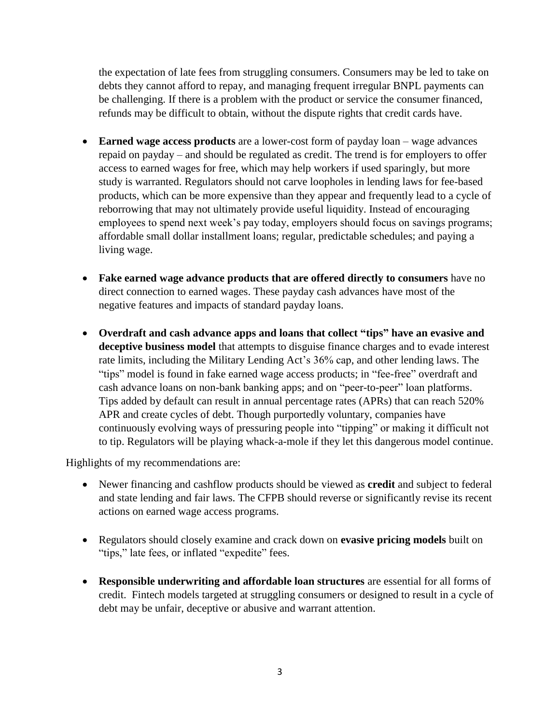the expectation of late fees from struggling consumers. Consumers may be led to take on debts they cannot afford to repay, and managing frequent irregular BNPL payments can be challenging. If there is a problem with the product or service the consumer financed, refunds may be difficult to obtain, without the dispute rights that credit cards have.

- **Earned wage access products** are a lower-cost form of payday loan wage advances repaid on payday – and should be regulated as credit. The trend is for employers to offer access to earned wages for free, which may help workers if used sparingly, but more study is warranted. Regulators should not carve loopholes in lending laws for fee-based products, which can be more expensive than they appear and frequently lead to a cycle of reborrowing that may not ultimately provide useful liquidity. Instead of encouraging employees to spend next week's pay today, employers should focus on savings programs; affordable small dollar installment loans; regular, predictable schedules; and paying a living wage.
- **Fake earned wage advance products that are offered directly to consumers** have no direct connection to earned wages. These payday cash advances have most of the negative features and impacts of standard payday loans.
- **Overdraft and cash advance apps and loans that collect "tips" have an evasive and deceptive business model** that attempts to disguise finance charges and to evade interest rate limits, including the Military Lending Act's 36% cap, and other lending laws. The "tips" model is found in fake earned wage access products; in "fee-free" overdraft and cash advance loans on non-bank banking apps; and on "peer-to-peer" loan platforms. Tips added by default can result in annual percentage rates (APRs) that can reach 520% APR and create cycles of debt. Though purportedly voluntary, companies have continuously evolving ways of pressuring people into "tipping" or making it difficult not to tip. Regulators will be playing whack-a-mole if they let this dangerous model continue.

Highlights of my recommendations are:

- Newer financing and cashflow products should be viewed as **credit** and subject to federal and state lending and fair laws. The CFPB should reverse or significantly revise its recent actions on earned wage access programs.
- Regulators should closely examine and crack down on **evasive pricing models** built on "tips," late fees, or inflated "expedite" fees.
- **Responsible underwriting and affordable loan structures** are essential for all forms of credit. Fintech models targeted at struggling consumers or designed to result in a cycle of debt may be unfair, deceptive or abusive and warrant attention.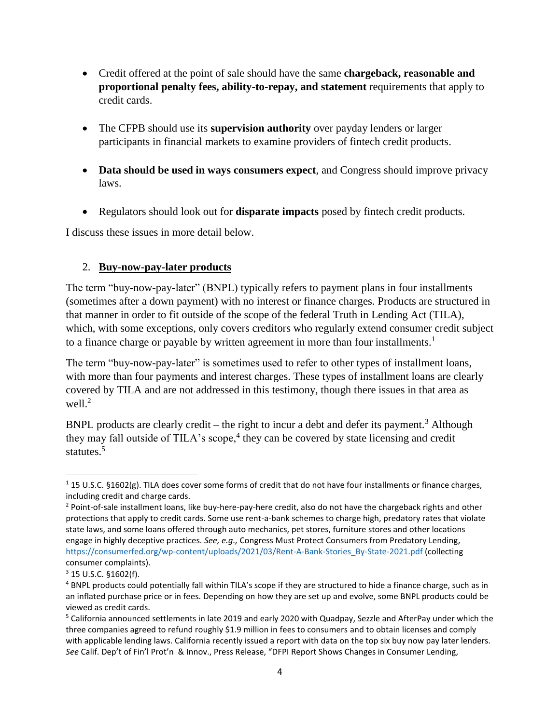- Credit offered at the point of sale should have the same **chargeback, reasonable and proportional penalty fees, ability-to-repay, and statement** requirements that apply to credit cards.
- The CFPB should use its **supervision authority** over payday lenders or larger participants in financial markets to examine providers of fintech credit products.
- **Data should be used in ways consumers expect**, and Congress should improve privacy laws.
- Regulators should look out for **disparate impacts** posed by fintech credit products.

I discuss these issues in more detail below.

#### 2. **Buy-now-pay-later products**

The term "buy-now-pay-later" (BNPL) typically refers to payment plans in four installments (sometimes after a down payment) with no interest or finance charges. Products are structured in that manner in order to fit outside of the scope of the federal Truth in Lending Act (TILA), which, with some exceptions, only covers creditors who regularly extend consumer credit subject to a finance charge or payable by written agreement in more than four installments.<sup>1</sup>

The term "buy-now-pay-later" is sometimes used to refer to other types of installment loans, with more than four payments and interest charges. These types of installment loans are clearly covered by TILA and are not addressed in this testimony, though there issues in that area as well. 2

BNPL products are clearly credit – the right to incur a debt and defer its payment.<sup>3</sup> Although they may fall outside of TILA's scope,<sup>4</sup> they can be covered by state licensing and credit statutes.<sup>5</sup>

 $\overline{\phantom{a}}$ <sup>1</sup> 15 U.S.C. §1602(g). TILA does cover some forms of credit that do not have four installments or finance charges, including credit and charge cards.

<sup>&</sup>lt;sup>2</sup> Point-of-sale installment loans, like buy-here-pay-here credit, also do not have the chargeback rights and other protections that apply to credit cards. Some use rent-a-bank schemes to charge high, predatory rates that violate state laws, and some loans offered through auto mechanics, pet stores, furniture stores and other locations engage in highly deceptive practices. *See, e.g.,* Congress Must Protect Consumers from Predatory Lending, [https://consumerfed.org/wp-content/uploads/2021/03/Rent-A-Bank-Stories\\_By-State-2021.pdf](https://consumerfed.org/wp-content/uploads/2021/03/Rent-A-Bank-Stories_By-State-2021.pdf) (collecting consumer complaints).

<sup>3</sup> 15 U.S.C. §1602(f).

<sup>4</sup> BNPL products could potentially fall within TILA's scope if they are structured to hide a finance charge, such as in an inflated purchase price or in fees. Depending on how they are set up and evolve, some BNPL products could be viewed as credit cards.

<sup>5</sup> California announced settlements in late 2019 and early 2020 with Quadpay, Sezzle and AfterPay under which the three companies agreed to refund roughly \$1.9 million in fees to consumers and to obtain licenses and comply with applicable lending laws. California recently issued a report with data on the top six buy now pay later lenders. *See* Calif. Dep't of Fin'l Prot'n & Innov., Press Release, "DFPI Report Shows Changes in Consumer Lending,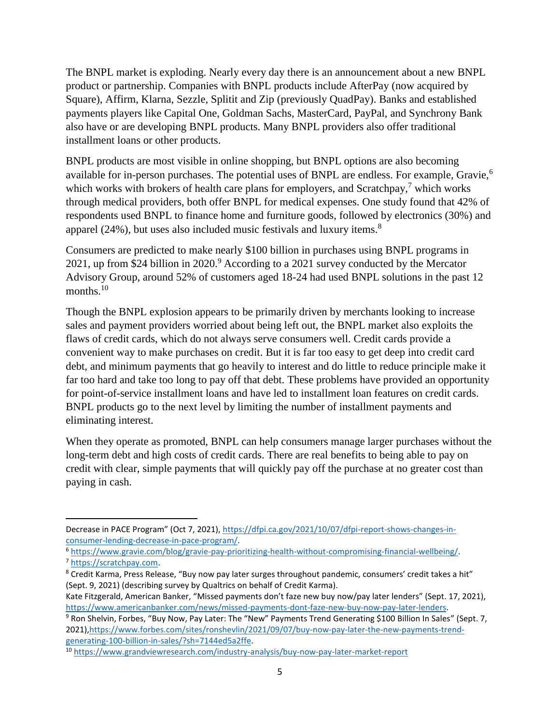The BNPL market is exploding. Nearly every day there is an announcement about a new BNPL product or partnership. Companies with BNPL products include AfterPay (now acquired by Square), Affirm, Klarna, Sezzle, Splitit and Zip (previously QuadPay). Banks and established payments players like Capital One, Goldman Sachs, MasterCard, PayPal, and Synchrony Bank also have or are developing BNPL products. Many BNPL providers also offer traditional installment loans or other products.

BNPL products are most visible in online shopping, but BNPL options are also becoming available for in-person purchases. The potential uses of BNPL are endless. For example, Gravie,<sup>6</sup> which works with brokers of health care plans for employers, and  $Scratchpay$ ,<sup>7</sup> which works through medical providers, both offer BNPL for medical expenses. One study found that 42% of respondents used BNPL to finance home and furniture goods, followed by electronics (30%) and apparel  $(24\%)$ , but uses also included music festivals and luxury items.<sup>8</sup>

Consumers are predicted to make nearly \$100 billion in purchases using BNPL programs in 2021, up from \$24 billion in 2020.<sup>9</sup> According to a 2021 survey conducted by the Mercator Advisory Group, around 52% of customers aged 18-24 had used BNPL solutions in the past 12 months. $10$ 

Though the BNPL explosion appears to be primarily driven by merchants looking to increase sales and payment providers worried about being left out, the BNPL market also exploits the flaws of credit cards, which do not always serve consumers well. Credit cards provide a convenient way to make purchases on credit. But it is far too easy to get deep into credit card debt, and minimum payments that go heavily to interest and do little to reduce principle make it far too hard and take too long to pay off that debt. These problems have provided an opportunity for point-of-service installment loans and have led to installment loan features on credit cards. BNPL products go to the next level by limiting the number of installment payments and eliminating interest.

When they operate as promoted, BNPL can help consumers manage larger purchases without the long-term debt and high costs of credit cards. There are real benefits to being able to pay on credit with clear, simple payments that will quickly pay off the purchase at no greater cost than paying in cash.

Kate Fitzgerald, American Banker, "Missed payments don't faze new buy now/pay later lenders" (Sept. 17, 2021), [https://www.americanbanker.com/news/missed-payments-dont-faze-new-buy-now-pay-later-lenders.](https://www.americanbanker.com/news/missed-payments-dont-faze-new-buy-now-pay-later-lenders)

Decrease in PACE Program" (Oct 7, 2021), [https://dfpi.ca.gov/2021/10/07/dfpi-report-shows-changes-in](https://dfpi.ca.gov/2021/10/07/dfpi-report-shows-changes-in-consumer-lending-decrease-in-pace-program/)[consumer-lending-decrease-in-pace-program/.](https://dfpi.ca.gov/2021/10/07/dfpi-report-shows-changes-in-consumer-lending-decrease-in-pace-program/)

<sup>6</sup> [https://www.gravie.com/blog/gravie-pay-prioritizing-health-without-compromising-financial-wellbeing/.](https://www.gravie.com/blog/gravie-pay-prioritizing-health-without-compromising-financial-wellbeing/) <sup>7</sup> [https://scratchpay.com.](https://scratchpay.com/)

<sup>8</sup> Credit Karma, Press Release, "Buy now pay later surges throughout pandemic, consumers' credit takes a hit" (Sept. 9, 2021) (describing survey by Qualtrics on behalf of Credit Karma).

<sup>9</sup> Ron Shelvin, Forbes, "Buy Now, Pay Later: The "New" Payments Trend Generating \$100 Billion In Sales" (Sept. 7, 2021)[,https://www.forbes.com/sites/ronshevlin/2021/09/07/buy-now-pay-later-the-new-payments-trend](https://www.forbes.com/sites/ronshevlin/2021/09/07/buy-now-pay-later-the-new-payments-trend-generating-100-billion-in-sales/?sh=7144ed5a2ffe)[generating-100-billion-in-sales/?sh=7144ed5a2ffe.](https://www.forbes.com/sites/ronshevlin/2021/09/07/buy-now-pay-later-the-new-payments-trend-generating-100-billion-in-sales/?sh=7144ed5a2ffe)

<sup>10</sup> <https://www.grandviewresearch.com/industry-analysis/buy-now-pay-later-market-report>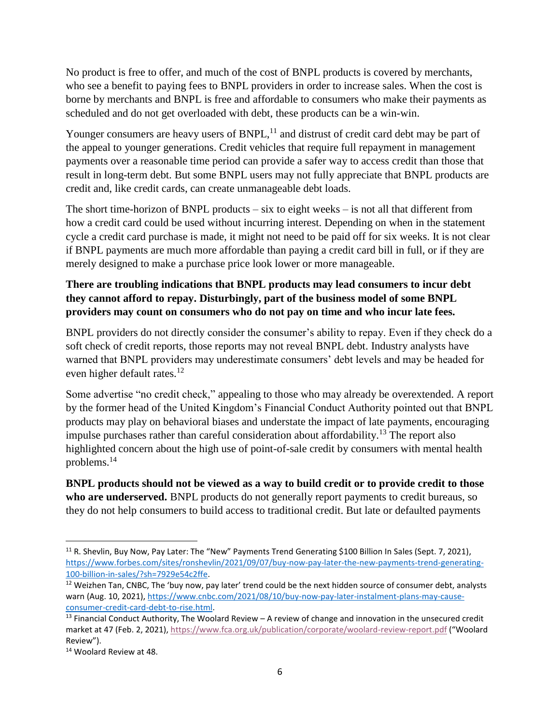No product is free to offer, and much of the cost of BNPL products is covered by merchants, who see a benefit to paying fees to BNPL providers in order to increase sales. When the cost is borne by merchants and BNPL is free and affordable to consumers who make their payments as scheduled and do not get overloaded with debt, these products can be a win-win.

Younger consumers are heavy users of  $BNPL$ ,  $^{11}$  and distrust of credit card debt may be part of the appeal to younger generations. Credit vehicles that require full repayment in management payments over a reasonable time period can provide a safer way to access credit than those that result in long-term debt. But some BNPL users may not fully appreciate that BNPL products are credit and, like credit cards, can create unmanageable debt loads.

The short time-horizon of BNPL products  $-$  six to eight weeks  $-$  is not all that different from how a credit card could be used without incurring interest. Depending on when in the statement cycle a credit card purchase is made, it might not need to be paid off for six weeks. It is not clear if BNPL payments are much more affordable than paying a credit card bill in full, or if they are merely designed to make a purchase price look lower or more manageable.

## **There are troubling indications that BNPL products may lead consumers to incur debt they cannot afford to repay. Disturbingly, part of the business model of some BNPL providers may count on consumers who do not pay on time and who incur late fees.**

BNPL providers do not directly consider the consumer's ability to repay. Even if they check do a soft check of credit reports, those reports may not reveal BNPL debt. Industry analysts have warned that BNPL providers may underestimate consumers' debt levels and may be headed for even higher default rates.<sup>12</sup>

Some advertise "no credit check," appealing to those who may already be overextended. A report by the former head of the United Kingdom's Financial Conduct Authority pointed out that BNPL products may play on behavioral biases and understate the impact of late payments, encouraging impulse purchases rather than careful consideration about affordability.<sup>13</sup> The report also highlighted concern about the high use of point-of-sale credit by consumers with mental health problems.<sup>14</sup>

**BNPL products should not be viewed as a way to build credit or to provide credit to those who are underserved.** BNPL products do not generally report payments to credit bureaus, so they do not help consumers to build access to traditional credit. But late or defaulted payments

 $\overline{a}$ 

<sup>&</sup>lt;sup>11</sup> R. Shevlin, Buy Now, Pay Later: The "New" Payments Trend Generating \$100 Billion In Sales (Sept. 7, 2021), [https://www.forbes.com/sites/ronshevlin/2021/09/07/buy-now-pay-later-the-new-payments-trend-generating-](https://www.forbes.com/sites/ronshevlin/2021/09/07/buy-now-pay-later-the-new-payments-trend-generating-100-billion-in-sales/?sh=7929e54c2ffe)[100-billion-in-sales/?sh=7929e54c2ffe.](https://www.forbes.com/sites/ronshevlin/2021/09/07/buy-now-pay-later-the-new-payments-trend-generating-100-billion-in-sales/?sh=7929e54c2ffe)

 $12$  Weizhen Tan, CNBC, The 'buy now, pay later' trend could be the next hidden source of consumer debt, analysts warn (Aug. 10, 2021)[, https://www.cnbc.com/2021/08/10/buy-now-pay-later-instalment-plans-may-cause](https://www.cnbc.com/2021/08/10/buy-now-pay-later-instalment-plans-may-cause-consumer-credit-card-debt-to-rise.html)[consumer-credit-card-debt-to-rise.html.](https://www.cnbc.com/2021/08/10/buy-now-pay-later-instalment-plans-may-cause-consumer-credit-card-debt-to-rise.html)

 $13$  Financial Conduct Authority, The Woolard Review  $-$  A review of change and innovation in the unsecured credit market at 47 (Feb. 2, 2021)[, https://www.fca.org.uk/publication/corporate/woolard-review-report.pdf](https://www.fca.org.uk/publication/corporate/woolard-review-report.pdf) ("Woolard Review").

<sup>14</sup> Woolard Review at 48.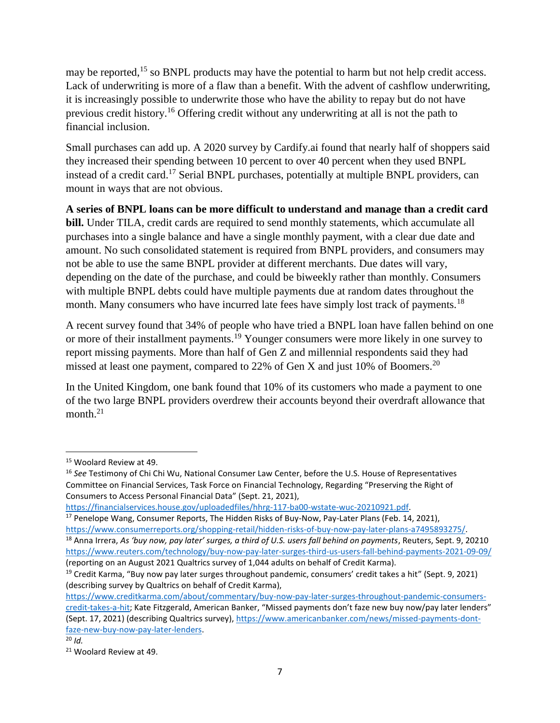may be reported,<sup>15</sup> so BNPL products may have the potential to harm but not help credit access. Lack of underwriting is more of a flaw than a benefit. With the advent of cashflow underwriting, it is increasingly possible to underwrite those who have the ability to repay but do not have previous credit history.<sup>16</sup> Offering credit without any underwriting at all is not the path to financial inclusion.

Small purchases can add up. A 2020 survey by Cardify.ai found that nearly half of shoppers said they increased their spending between 10 percent to over 40 percent when they used BNPL instead of a credit card.<sup>17</sup> Serial BNPL purchases, potentially at multiple BNPL providers, can mount in ways that are not obvious.

**A series of BNPL loans can be more difficult to understand and manage than a credit card bill.** Under TILA, credit cards are required to send monthly statements, which accumulate all purchases into a single balance and have a single monthly payment, with a clear due date and amount. No such consolidated statement is required from BNPL providers, and consumers may not be able to use the same BNPL provider at different merchants. Due dates will vary, depending on the date of the purchase, and could be biweekly rather than monthly. Consumers with multiple BNPL debts could have multiple payments due at random dates throughout the month. Many consumers who have incurred late fees have simply lost track of payments.<sup>18</sup>

A recent survey found that 34% of people who have tried a BNPL loan have fallen behind on one or more of their installment payments.<sup>19</sup> Younger consumers were more likely in one survey to report missing payments. More than half of Gen Z and millennial respondents said they had missed at least one payment, compared to 22% of Gen X and just 10% of Boomers.<sup>20</sup>

In the United Kingdom, one bank found that 10% of its customers who made a payment to one of the two large BNPL providers overdrew their accounts beyond their overdraft allowance that month.<sup>21</sup>

```
https://financialservices.house.gov/uploadedfiles/hhrg-117-ba00-wstate-wuc-20210921.pdf.
```
<sup>15</sup> Woolard Review at 49.

<sup>16</sup> *See* Testimony of Chi Chi Wu, National Consumer Law Center, before the U.S. House of Representatives Committee on Financial Services, Task Force on Financial Technology, Regarding "Preserving the Right of Consumers to Access Personal Financial Data" (Sept. 21, 2021),

<sup>&</sup>lt;sup>17</sup> Penelope Wang, Consumer Reports, The Hidden Risks of Buy-Now, Pay-Later Plans (Feb. 14, 2021), [https://www.consumerreports.org/shopping-retail/hidden-risks-of-buy-now-pay-later-plans-a7495893275/.](https://www.consumerreports.org/shopping-retail/hidden-risks-of-buy-now-pay-later-plans-a7495893275/) <sup>18</sup> Anna Irrera, *As 'buy now, pay later' surges, a third of U.S. users fall behind on payments, Reuters, Sept. 9, 20210* <https://www.reuters.com/technology/buy-now-pay-later-surges-third-us-users-fall-behind-payments-2021-09-09/>

<sup>(</sup>reporting on an August 2021 Qualtrics survey of 1,044 adults on behalf of Credit Karma).

<sup>&</sup>lt;sup>19</sup> Credit Karma, "Buy now pay later surges throughout pandemic, consumers' credit takes a hit" (Sept. 9, 2021) (describing survey by Qualtrics on behalf of Credit Karma),

[https://www.creditkarma.com/about/commentary/buy-now-pay-later-surges-throughout-pandemic-consumers](https://www.creditkarma.com/about/commentary/buy-now-pay-later-surges-throughout-pandemic-consumers-credit-takes-a-hit)[credit-takes-a-hit;](https://www.creditkarma.com/about/commentary/buy-now-pay-later-surges-throughout-pandemic-consumers-credit-takes-a-hit) Kate Fitzgerald, American Banker, "Missed payments don't faze new buy now/pay later lenders" (Sept. 17, 2021) (describing Qualtrics survey), [https://www.americanbanker.com/news/missed-payments-dont](https://www.americanbanker.com/news/missed-payments-dont-faze-new-buy-now-pay-later-lenders)[faze-new-buy-now-pay-later-lenders.](https://www.americanbanker.com/news/missed-payments-dont-faze-new-buy-now-pay-later-lenders)

<sup>20</sup> *Id.*

<sup>21</sup> Woolard Review at 49.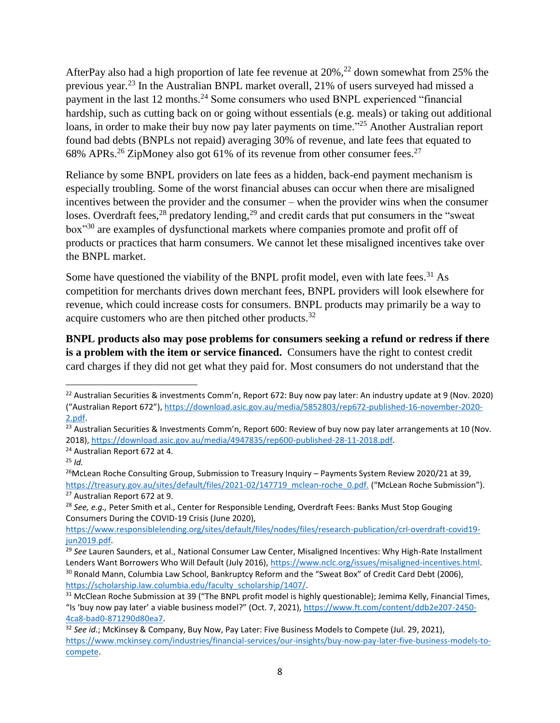AfterPay also had a high proportion of late fee revenue at  $20\%$ ,<sup>22</sup> down somewhat from 25% the previous year.<sup>23</sup> In the Australian BNPL market overall, 21% of users surveyed had missed a payment in the last 12 months.<sup>24</sup> Some consumers who used BNPL experienced "financial" hardship, such as cutting back on or going without essentials (e.g. meals) or taking out additional loans, in order to make their buy now pay later payments on time."<sup>25</sup> Another Australian report found bad debts (BNPLs not repaid) averaging 30% of revenue, and late fees that equated to 68% APRs.<sup>26</sup> ZipMoney also got 61% of its revenue from other consumer fees.<sup>27</sup>

Reliance by some BNPL providers on late fees as a hidden, back-end payment mechanism is especially troubling. Some of the worst financial abuses can occur when there are misaligned incentives between the provider and the consumer – when the provider wins when the consumer loses. Overdraft fees, $^{28}$  predatory lending, $^{29}$  and credit cards that put consumers in the "sweat" box"<sup>30</sup> are examples of dysfunctional markets where companies promote and profit off of products or practices that harm consumers. We cannot let these misaligned incentives take over the BNPL market.

Some have questioned the viability of the BNPL profit model, even with late fees.<sup>31</sup> As competition for merchants drives down merchant fees, BNPL providers will look elsewhere for revenue, which could increase costs for consumers. BNPL products may primarily be a way to acquire customers who are then pitched other products.<sup>32</sup>

**BNPL products also may pose problems for consumers seeking a refund or redress if there is a problem with the item or service financed.** Consumers have the right to contest credit card charges if they did not get what they paid for. Most consumers do not understand that the

l

<sup>&</sup>lt;sup>22</sup> Australian Securities & investments Comm'n, Report 672: Buy now pay later: An industry update at 9 (Nov. 2020) ("Australian Report 672"), [https://download.asic.gov.au/media/5852803/rep672-published-16-november-2020-](https://download.asic.gov.au/media/5852803/rep672-published-16-november-2020-2.pdf) [2.pdf.](https://download.asic.gov.au/media/5852803/rep672-published-16-november-2020-2.pdf)

 $\overline{^{23}}$  Australian Securities & Investments Comm'n, Report 600: Review of buy now pay later arrangements at 10 (Nov. 2018), [https://download.asic.gov.au/media/4947835/rep600-published-28-11-2018.pdf.](https://download.asic.gov.au/media/4947835/rep600-published-28-11-2018.pdf) 

<sup>24</sup> Australian Report 672 at 4.

<sup>25</sup> *Id.*

<sup>&</sup>lt;sup>26</sup>McLean Roche Consulting Group, Submission to Treasury Inquiry – Payments System Review 2020/21 at 39, [https://treasury.gov.au/sites/default/files/2021-02/147719\\_mclean-roche\\_0.pdf.](https://treasury.gov.au/sites/default/files/2021-02/147719_mclean-roche_0.pdf) ("McLean Roche Submission"). <sup>27</sup> Australian Report 672 at 9.

<sup>28</sup> *See, e.g.,* Peter Smith et al., Center for Responsible Lending, Overdraft Fees: Banks Must Stop Gouging Consumers During the COVID-19 Crisis (June 2020),

[https://www.responsiblelending.org/sites/default/files/nodes/files/research-publication/crl-overdraft-covid19](https://www.responsiblelending.org/sites/default/files/nodes/files/research-publication/crl-overdraft-covid19-jun2019.pdf) [jun2019.pdf.](https://www.responsiblelending.org/sites/default/files/nodes/files/research-publication/crl-overdraft-covid19-jun2019.pdf) 

<sup>29</sup> *See* Lauren Saunders, et al., National Consumer Law Center, Misaligned Incentives: Why High-Rate Installment Lenders Want Borrowers Who Will Default (July 2016), [https://www.nclc.org/issues/misaligned-incentives.html.](https://www.nclc.org/issues/misaligned-incentives.html) <sup>30</sup> Ronald Mann, Columbia Law School, Bankruptcy Reform and the "Sweat Box" of Credit Card Debt (2006), [https://scholarship.law.columbia.edu/faculty\\_scholarship/1407/.](https://scholarship.law.columbia.edu/faculty_scholarship/1407/) 

<sup>&</sup>lt;sup>31</sup> McClean Roche Submission at 39 ("The BNPL profit model is highly questionable); Jemima Kelly, Financial Times, "Is 'buy now pay later' a viable business model?" (Oct. 7, 2021), [https://www.ft.com/content/ddb2e207-2450-](https://www.ft.com/content/ddb2e207-2450-4ca8-bad0-871290d80ea7) [4ca8-bad0-871290d80ea7.](https://www.ft.com/content/ddb2e207-2450-4ca8-bad0-871290d80ea7) 

<sup>32</sup> *See id.*; McKinsey & Company, Buy Now, Pay Later: Five Business Models to Compete (Jul. 29, 2021), [https://www.mckinsey.com/industries/financial-services/our-insights/buy-now-pay-later-five-business-models-to](https://www.mckinsey.com/industries/financial-services/our-insights/buy-now-pay-later-five-business-models-to-compete)[compete.](https://www.mckinsey.com/industries/financial-services/our-insights/buy-now-pay-later-five-business-models-to-compete)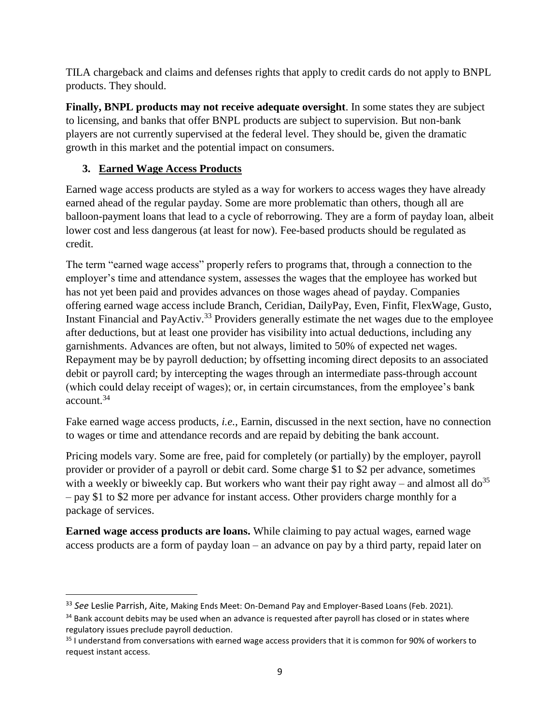TILA chargeback and claims and defenses rights that apply to credit cards do not apply to BNPL products. They should.

**Finally, BNPL products may not receive adequate oversight**. In some states they are subject to licensing, and banks that offer BNPL products are subject to supervision. But non-bank players are not currently supervised at the federal level. They should be, given the dramatic growth in this market and the potential impact on consumers.

# **3. Earned Wage Access Products**

 $\overline{\phantom{a}}$ 

Earned wage access products are styled as a way for workers to access wages they have already earned ahead of the regular payday. Some are more problematic than others, though all are balloon-payment loans that lead to a cycle of reborrowing. They are a form of payday loan, albeit lower cost and less dangerous (at least for now). Fee-based products should be regulated as credit.

The term "earned wage access" properly refers to programs that, through a connection to the employer's time and attendance system, assesses the wages that the employee has worked but has not yet been paid and provides advances on those wages ahead of payday. Companies offering earned wage access include Branch, Ceridian, DailyPay, Even, Finfit, FlexWage, Gusto, Instant Financial and PayActiv.<sup>33</sup> Providers generally estimate the net wages due to the employee after deductions, but at least one provider has visibility into actual deductions, including any garnishments. Advances are often, but not always, limited to 50% of expected net wages. Repayment may be by payroll deduction; by offsetting incoming direct deposits to an associated debit or payroll card; by intercepting the wages through an intermediate pass-through account (which could delay receipt of wages); or, in certain circumstances, from the employee's bank account.<sup>34</sup>

Fake earned wage access products, *i.e.*, Earnin, discussed in the next section, have no connection to wages or time and attendance records and are repaid by debiting the bank account.

Pricing models vary. Some are free, paid for completely (or partially) by the employer, payroll provider or provider of a payroll or debit card. Some charge \$1 to \$2 per advance, sometimes with a weekly or biweekly cap. But workers who want their pay right away – and almost all  $d\sigma^{35}$ – pay \$1 to \$2 more per advance for instant access. Other providers charge monthly for a package of services.

**Earned wage access products are loans.** While claiming to pay actual wages, earned wage access products are a form of payday loan – an advance on pay by a third party, repaid later on

<sup>33</sup> *See* Leslie Parrish, Aite, Making Ends Meet: On-Demand Pay and Employer-Based Loans (Feb. 2021).

<sup>&</sup>lt;sup>34</sup> Bank account debits may be used when an advance is requested after payroll has closed or in states where regulatory issues preclude payroll deduction.

<sup>&</sup>lt;sup>35</sup> I understand from conversations with earned wage access providers that it is common for 90% of workers to request instant access.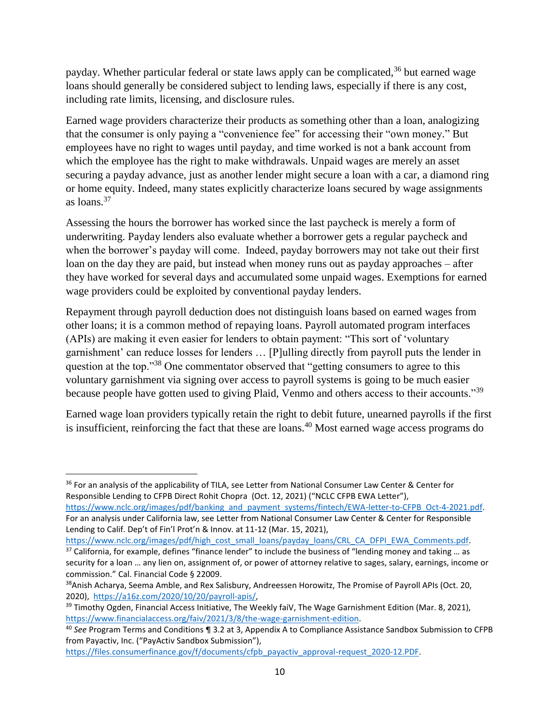payday. Whether particular federal or state laws apply can be complicated,<sup>36</sup> but earned wage loans should generally be considered subject to lending laws, especially if there is any cost, including rate limits, licensing, and disclosure rules.

Earned wage providers characterize their products as something other than a loan, analogizing that the consumer is only paying a "convenience fee" for accessing their "own money." But employees have no right to wages until payday, and time worked is not a bank account from which the employee has the right to make withdrawals. Unpaid wages are merely an asset securing a payday advance, just as another lender might secure a loan with a car, a diamond ring or home equity. Indeed, many states explicitly characterize loans secured by wage assignments as loans.<sup>37</sup>

Assessing the hours the borrower has worked since the last paycheck is merely a form of underwriting. Payday lenders also evaluate whether a borrower gets a regular paycheck and when the borrower's payday will come. Indeed, payday borrowers may not take out their first loan on the day they are paid, but instead when money runs out as payday approaches – after they have worked for several days and accumulated some unpaid wages. Exemptions for earned wage providers could be exploited by conventional payday lenders.

Repayment through payroll deduction does not distinguish loans based on earned wages from other loans; it is a common method of repaying loans. Payroll automated program interfaces (APIs) are making it even easier for lenders to obtain payment: "This sort of 'voluntary garnishment' can reduce losses for lenders … [P]ulling directly from payroll puts the lender in question at the top."<sup>38</sup> One commentator observed that "getting consumers to agree to this voluntary garnishment via signing over access to payroll systems is going to be much easier because people have gotten used to giving Plaid, Venmo and others access to their accounts."<sup>39</sup>

Earned wage loan providers typically retain the right to debit future, unearned payrolls if the first is insufficient, reinforcing the fact that these are loans.<sup>40</sup> Most earned wage access programs do

 $\overline{\phantom{a}}$ <sup>36</sup> For an analysis of the applicability of TILA, see Letter from National Consumer Law Center & Center for Responsible Lending to CFPB Direct Rohit Chopra (Oct. 12, 2021) ("NCLC CFPB EWA Letter"),

[https://www.nclc.org/images/pdf/banking\\_and\\_payment\\_systems/fintech/EWA-letter-to-CFPB\\_Oct-4-2021.pdf.](https://www.nclc.org/images/pdf/banking_and_payment_systems/fintech/EWA-letter-to-CFPB_Oct-4-2021.pdf) For an analysis under California law, see Letter from National Consumer Law Center & Center for Responsible Lending to Calif. Dep't of Fin'l Prot'n & Innov. at 11-12 (Mar. 15, 2021),

[https://www.nclc.org/images/pdf/high\\_cost\\_small\\_loans/payday\\_loans/CRL\\_CA\\_DFPI\\_EWA\\_Comments.pdf.](https://www.nclc.org/images/pdf/high_cost_small_loans/payday_loans/CRL_CA_DFPI_EWA_Comments.pdf) 37 California, for example, defines "finance lender" to include the business of "lending money and taking ... as

security for a loan … any lien on, assignment of, or power of attorney relative to sages, salary, earnings, income or commission." Cal. Financial Code § 22009.

<sup>&</sup>lt;sup>38</sup>Anish Acharya, Seema Amble, and Rex Salisbury, Andreessen Horowitz, The Promise of Payroll APIs (Oct. 20, 2020), [https://a16z.com/2020/10/20/payroll-apis/,](https://a16z.com/2020/10/20/payroll-apis/)

<sup>&</sup>lt;sup>39</sup> Timothy Ogden, Financial Access Initiative, The Weekly faiV, The Wage Garnishment Edition (Mar. 8, 2021), [https://www.financialaccess.org/faiv/2021/3/8/the-wage-garnishment-edition.](https://www.financialaccess.org/faiv/2021/3/8/the-wage-garnishment-edition) 

<sup>40</sup> *See* Program Terms and Conditions ¶ 3.2 at 3, Appendix A to Compliance Assistance Sandbox Submission to CFPB from Payactiv, Inc. ("PayActiv Sandbox Submission"),

[https://files.consumerfinance.gov/f/documents/cfpb\\_payactiv\\_approval-request\\_2020-12.PDF.](https://files.consumerfinance.gov/f/documents/cfpb_payactiv_approval-request_2020-12.PDF)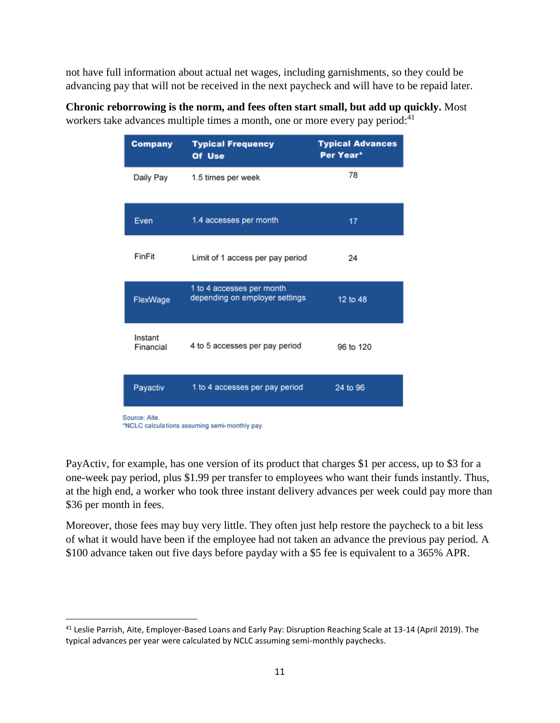not have full information about actual net wages, including garnishments, so they could be advancing pay that will not be received in the next paycheck and will have to be repaid later.

| <b>Company</b>                                                 | <b>Typical Frequency</b><br>Of Use                          | <b>Typical Advances</b><br>Per Year* |
|----------------------------------------------------------------|-------------------------------------------------------------|--------------------------------------|
| Daily Pay                                                      | 1.5 times per week                                          | 78                                   |
| Even                                                           | 1.4 accesses per month                                      | 17                                   |
| FinFit                                                         | Limit of 1 access per pay period                            | 24                                   |
| FlexWage                                                       | 1 to 4 accesses per month<br>depending on employer settings | 12 to 48                             |
| Instant<br>Financial                                           | 4 to 5 accesses per pay period                              | 96 to 120                            |
| Payactiv                                                       | 1 to 4 accesses per pay period                              | 24 to 96                             |
| Source: Aite.<br>*NCLC calculations assuming semi-monthly pay. |                                                             |                                      |

**Chronic reborrowing is the norm, and fees often start small, but add up quickly.** Most workers take advances multiple times a month, one or more every pay period:<sup>41</sup>

PayActiv, for example, has one version of its product that charges \$1 per access, up to \$3 for a one-week pay period, plus \$1.99 per transfer to employees who want their funds instantly. Thus, at the high end, a worker who took three instant delivery advances per week could pay more than \$36 per month in fees.

Moreover, those fees may buy very little. They often just help restore the paycheck to a bit less of what it would have been if the employee had not taken an advance the previous pay period. A \$100 advance taken out five days before payday with a \$5 fee is equivalent to a 365% APR.

 $\overline{a}$ 

<sup>41</sup> Leslie Parrish, Aite, Employer-Based Loans and Early Pay: Disruption Reaching Scale at 13-14 (April 2019). The typical advances per year were calculated by NCLC assuming semi-monthly paychecks.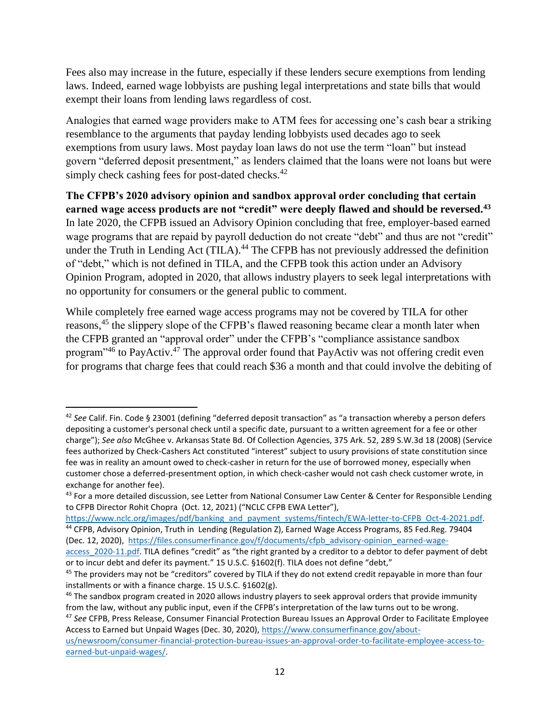Fees also may increase in the future, especially if these lenders secure exemptions from lending laws. Indeed, earned wage lobbyists are pushing legal interpretations and state bills that would exempt their loans from lending laws regardless of cost.

Analogies that earned wage providers make to ATM fees for accessing one's cash bear a striking resemblance to the arguments that payday lending lobbyists used decades ago to seek exemptions from usury laws. Most payday loan laws do not use the term "loan" but instead govern "deferred deposit presentment," as lenders claimed that the loans were not loans but were simply check cashing fees for post-dated checks.<sup>42</sup>

**The CFPB's 2020 advisory opinion and sandbox approval order concluding that certain earned wage access products are not "credit" were deeply flawed and should be reversed.<sup>43</sup>**  In late 2020, the CFPB issued an Advisory Opinion concluding that free, employer-based earned wage programs that are repaid by payroll deduction do not create "debt" and thus are not "credit" under the Truth in Lending Act (TILA).<sup>44</sup> The CFPB has not previously addressed the definition of "debt," which is not defined in TILA, and the CFPB took this action under an Advisory Opinion Program, adopted in 2020, that allows industry players to seek legal interpretations with no opportunity for consumers or the general public to comment.

While completely free earned wage access programs may not be covered by TILA for other reasons,<sup>45</sup> the slippery slope of the CFPB's flawed reasoning became clear a month later when the CFPB granted an "approval order" under the CFPB's "compliance assistance sandbox program<sup>,46</sup> to PayActiv.<sup>47</sup> The approval order found that PayActiv was not offering credit even for programs that charge fees that could reach \$36 a month and that could involve the debiting of

l

[https://www.nclc.org/images/pdf/banking\\_and\\_payment\\_systems/fintech/EWA-letter-to-CFPB\\_Oct-4-2021.pdf.](https://www.nclc.org/images/pdf/banking_and_payment_systems/fintech/EWA-letter-to-CFPB_Oct-4-2021.pdf) 44 CFPB, Advisory Opinion, Truth in Lending (Regulation Z), Earned Wage Access Programs, 85 Fed.Reg. 79404 (Dec. 12, 2020), [https://files.consumerfinance.gov/f/documents/cfpb\\_advisory-opinion\\_earned-wage-](https://files.consumerfinance.gov/f/documents/cfpb_advisory-opinion_earned-wage-access_2020-11.pdf)

<sup>42</sup> *See* Calif. Fin. Code § 23001 (defining "deferred deposit transaction" as "a transaction whereby a person defers depositing a customer's personal check until a specific date, pursuant to a written agreement for a fee or other charge"); *See also* McGhee v. Arkansas State Bd. Of Collection Agencies, 375 Ark. 52, 289 S.W.3d 18 (2008) (Service fees authorized by Check-Cashers Act constituted "interest" subject to usury provisions of state constitution since fee was in reality an amount owed to check-casher in return for the use of borrowed money, especially when customer chose a deferred-presentment option, in which check-casher would not cash check customer wrote, in exchange for another fee).

<sup>43</sup> For a more detailed discussion, see Letter from National Consumer Law Center & Center for Responsible Lending to CFPB Director Rohit Chopra (Oct. 12, 2021) ("NCLC CFPB EWA Letter"),

access 2020-11.pdf. TILA defines "credit" as "the right granted by a creditor to a debtor to defer payment of debt or to incur debt and defer its payment." 15 U.S.C. §1602(f). TILA does not define "debt,"

<sup>&</sup>lt;sup>45</sup> The providers may not be "creditors" covered by TILA if they do not extend credit repayable in more than four installments or with a finance charge. 15 U.S.C. §1602(g).

<sup>&</sup>lt;sup>46</sup> The sandbox program created in 2020 allows industry players to seek approval orders that provide immunity from the law, without any public input, even if the CFPB's interpretation of the law turns out to be wrong.

<sup>47</sup> *See* CFPB, Press Release, Consumer Financial Protection Bureau Issues an Approval Order to Facilitate Employee Access to Earned but Unpaid Wages (Dec. 30, 2020), [https://www.consumerfinance.gov/about-](https://www.consumerfinance.gov/about-us/newsroom/consumer-financial-protection-bureau-issues-an-approval-order-to-facilitate-employee-access-to-earned-but-unpaid-wages/)

[us/newsroom/consumer-financial-protection-bureau-issues-an-approval-order-to-facilitate-employee-access-to](https://www.consumerfinance.gov/about-us/newsroom/consumer-financial-protection-bureau-issues-an-approval-order-to-facilitate-employee-access-to-earned-but-unpaid-wages/)[earned-but-unpaid-wages/.](https://www.consumerfinance.gov/about-us/newsroom/consumer-financial-protection-bureau-issues-an-approval-order-to-facilitate-employee-access-to-earned-but-unpaid-wages/)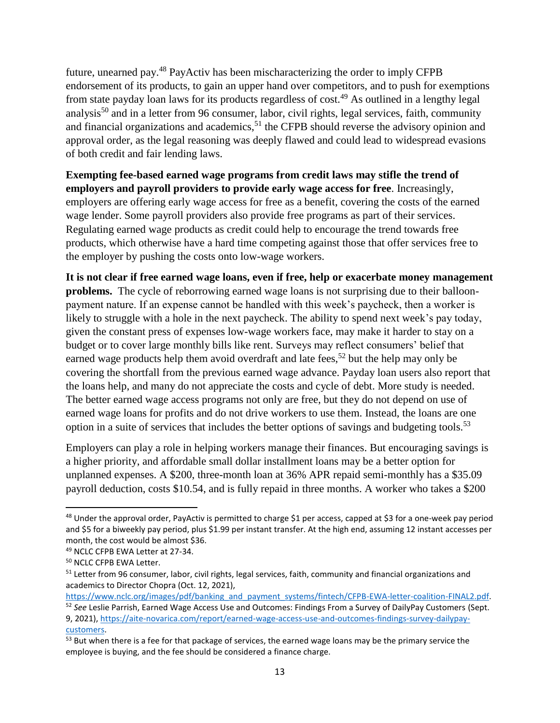future, unearned pay.<sup>48</sup> PayActiv has been mischaracterizing the order to imply CFPB endorsement of its products, to gain an upper hand over competitors, and to push for exemptions from state payday loan laws for its products regardless of cost.<sup>49</sup> As outlined in a lengthy legal analysis<sup>50</sup> and in a letter from 96 consumer, labor, civil rights, legal services, faith, community and financial organizations and academics,  $51$  the CFPB should reverse the advisory opinion and approval order, as the legal reasoning was deeply flawed and could lead to widespread evasions of both credit and fair lending laws.

**Exempting fee-based earned wage programs from credit laws may stifle the trend of employers and payroll providers to provide early wage access for free**. Increasingly, employers are offering early wage access for free as a benefit, covering the costs of the earned wage lender. Some payroll providers also provide free programs as part of their services. Regulating earned wage products as credit could help to encourage the trend towards free products, which otherwise have a hard time competing against those that offer services free to the employer by pushing the costs onto low-wage workers.

**It is not clear if free earned wage loans, even if free, help or exacerbate money management problems.** The cycle of reborrowing earned wage loans is not surprising due to their balloonpayment nature. If an expense cannot be handled with this week's paycheck, then a worker is likely to struggle with a hole in the next paycheck. The ability to spend next week's pay today, given the constant press of expenses low-wage workers face, may make it harder to stay on a budget or to cover large monthly bills like rent. Surveys may reflect consumers' belief that earned wage products help them avoid overdraft and late fees,<sup>52</sup> but the help may only be covering the shortfall from the previous earned wage advance. Payday loan users also report that the loans help, and many do not appreciate the costs and cycle of debt. More study is needed. The better earned wage access programs not only are free, but they do not depend on use of earned wage loans for profits and do not drive workers to use them. Instead, the loans are one option in a suite of services that includes the better options of savings and budgeting tools.<sup>53</sup>

Employers can play a role in helping workers manage their finances. But encouraging savings is a higher priority, and affordable small dollar installment loans may be a better option for unplanned expenses. A \$200, three-month loan at 36% APR repaid semi-monthly has a \$35.09 payroll deduction, costs \$10.54, and is fully repaid in three months. A worker who takes a \$200

 $48$  Under the approval order, PayActiv is permitted to charge \$1 per access, capped at \$3 for a one-week pay period and \$5 for a biweekly pay period, plus \$1.99 per instant transfer. At the high end, assuming 12 instant accesses per month, the cost would be almost \$36.

<sup>49</sup> NCLC CFPB EWA Letter at 27-34.

<sup>50</sup> NCLC CFPB EWA Letter.

<sup>&</sup>lt;sup>51</sup> Letter from 96 consumer, labor, civil rights, legal services, faith, community and financial organizations and academics to Director Chopra (Oct. 12, 2021),

[https://www.nclc.org/images/pdf/banking\\_and\\_payment\\_systems/fintech/CFPB-EWA-letter-coalition-FINAL2.pdf.](https://www.nclc.org/images/pdf/banking_and_payment_systems/fintech/CFPB-EWA-letter-coalition-FINAL2.pdf) <sup>52</sup> *See* Leslie Parrish, Earned Wage Access Use and Outcomes: Findings From a Survey of DailyPay Customers (Sept.

<sup>9, 2021),</sup> [https://aite-novarica.com/report/earned-wage-access-use-and-outcomes-findings-survey-dailypay](https://aite-novarica.com/report/earned-wage-access-use-and-outcomes-findings-survey-dailypay-customers)[customers.](https://aite-novarica.com/report/earned-wage-access-use-and-outcomes-findings-survey-dailypay-customers) 

<sup>&</sup>lt;sup>53</sup> But when there is a fee for that package of services, the earned wage loans may be the primary service the employee is buying, and the fee should be considered a finance charge.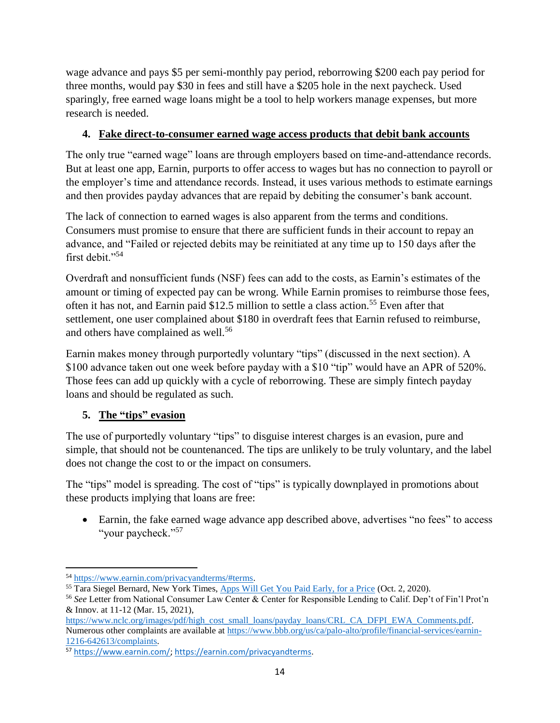wage advance and pays \$5 per semi-monthly pay period, reborrowing \$200 each pay period for three months, would pay \$30 in fees and still have a \$205 hole in the next paycheck. Used sparingly, free earned wage loans might be a tool to help workers manage expenses, but more research is needed.

#### **4. Fake direct-to-consumer earned wage access products that debit bank accounts**

The only true "earned wage" loans are through employers based on time-and-attendance records. But at least one app, Earnin, purports to offer access to wages but has no connection to payroll or the employer's time and attendance records. Instead, it uses various methods to estimate earnings and then provides payday advances that are repaid by debiting the consumer's bank account.

The lack of connection to earned wages is also apparent from the terms and conditions. Consumers must promise to ensure that there are sufficient funds in their account to repay an advance, and "Failed or rejected debits may be reinitiated at any time up to 150 days after the first debit."<sup>54</sup>

Overdraft and nonsufficient funds (NSF) fees can add to the costs, as Earnin's estimates of the amount or timing of expected pay can be wrong. While Earnin promises to reimburse those fees, often it has not, and Earnin paid \$12.5 million to settle a class action.<sup>55</sup> Even after that settlement, one user complained about \$180 in overdraft fees that Earnin refused to reimburse, and others have complained as well.<sup>56</sup>

Earnin makes money through purportedly voluntary "tips" (discussed in the next section). A \$100 advance taken out one week before payday with a \$10 "tip" would have an APR of 520%. Those fees can add up quickly with a cycle of reborrowing. These are simply fintech payday loans and should be regulated as such.

## **5. The "tips" evasion**

The use of purportedly voluntary "tips" to disguise interest charges is an evasion, pure and simple, that should not be countenanced. The tips are unlikely to be truly voluntary, and the label does not change the cost to or the impact on consumers.

The "tips" model is spreading. The cost of "tips" is typically downplayed in promotions about these products implying that loans are free:

• Earnin, the fake earned wage advance app described above, advertises "no fees" to access "your paycheck." 57

l <sup>54</sup> [https://www.earnin.com/privacyandterms/#terms.](https://www.earnin.com/privacyandterms/#terms)

<sup>55</sup> Tara Siegel Bernard, New York Times, [Apps Will Get You Paid Early, for a Price](https://www.nytimes.com/2020/10/02/your-money/cash-advance-apps-paychecks.html) (Oct. 2, 2020).

<sup>56</sup> *See* Letter from National Consumer Law Center & Center for Responsible Lending to Calif. Dep't of Fin'l Prot'n & Innov. at 11-12 (Mar. 15, 2021),

[https://www.nclc.org/images/pdf/high\\_cost\\_small\\_loans/payday\\_loans/CRL\\_CA\\_DFPI\\_EWA\\_Comments.pdf.](https://www.nclc.org/images/pdf/high_cost_small_loans/payday_loans/CRL_CA_DFPI_EWA_Comments.pdf) Numerous other complaints are available at [https://www.bbb.org/us/ca/palo-alto/profile/financial-services/earnin-](https://www.bbb.org/us/ca/palo-alto/profile/financial-services/earnin-1216-642613/complaints)[1216-642613/complaints.](https://www.bbb.org/us/ca/palo-alto/profile/financial-services/earnin-1216-642613/complaints)

<sup>57</sup> [https://www.earnin.com/;](https://www.earnin.com/) [https://earnin.com/privacyandterms.](https://earnin.com/privacyandterms)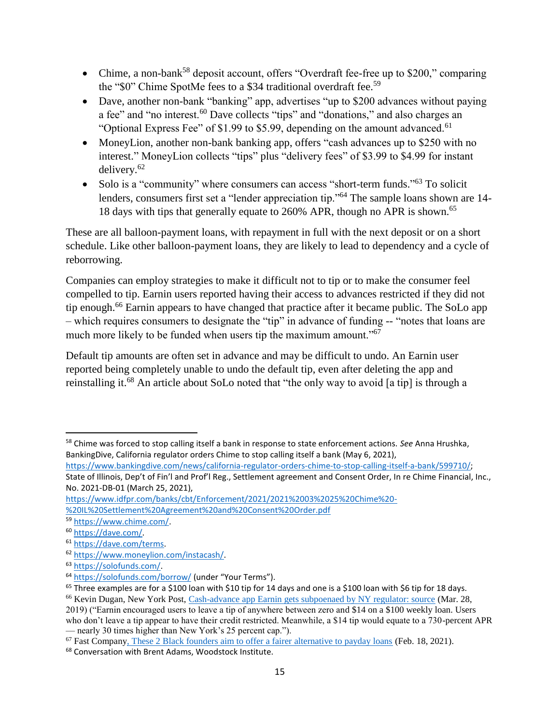- Chime, a non-bank<sup>58</sup> deposit account, offers "Overdraft fee-free up to \$200," comparing the "\$0" Chime SpotMe fees to a \$34 traditional overdraft fee.<sup>59</sup>
- Dave, another non-bank "banking" app, advertises "up to \$200 advances without paying a fee" and "no interest.<sup>60</sup> Dave collects "tips" and "donations," and also charges an "Optional Express Fee" of \$1.99 to \$5.99, depending on the amount advanced.<sup>61</sup>
- MoneyLion, another non-bank banking app, offers "cash advances up to \$250 with no interest." MoneyLion collects "tips" plus "delivery fees" of \$3.99 to \$4.99 for instant delivery.<sup>62</sup>
- Solo is a "community" where consumers can access "short-term funds."<sup>63</sup> To solicit lenders, consumers first set a "lender appreciation tip."<sup>64</sup> The sample loans shown are 14-18 days with tips that generally equate to 260% APR, though no APR is shown. 65

These are all balloon-payment loans, with repayment in full with the next deposit or on a short schedule. Like other balloon-payment loans, they are likely to lead to dependency and a cycle of reborrowing.

Companies can employ strategies to make it difficult not to tip or to make the consumer feel compelled to tip. Earnin users reported having their access to advances restricted if they did not tip enough.<sup>66</sup> Earnin appears to have changed that practice after it became public. The SoLo app – which requires consumers to designate the "tip" in advance of funding -- "notes that loans are much more likely to be funded when users tip the maximum amount."<sup>67</sup>

Default tip amounts are often set in advance and may be difficult to undo. An Earnin user reported being completely unable to undo the default tip, even after deleting the app and reinstalling it.<sup>68</sup> An article about SoLo noted that "the only way to avoid [a tip] is through a

[https://www.bankingdive.com/news/california-regulator-orders-chime-to-stop-calling-itself-a-bank/599710/;](https://www.bankingdive.com/news/california-regulator-orders-chime-to-stop-calling-itself-a-bank/599710/) State of Illinois, Dep't of Fin'l and Prof'l Reg., Settlement agreement and Consent Order, In re Chime Financial, Inc., No. 2021-DB-01 (March 25, 2021),

 $\overline{\phantom{a}}$ <sup>58</sup> Chime was forced to stop calling itself a bank in response to state enforcement actions. *See* Anna Hrushka, BankingDive, California regulator orders Chime to stop calling itself a bank (May 6, 2021),

[https://www.idfpr.com/banks/cbt/Enforcement/2021/2021%2003%2025%20Chime%20-](https://www.idfpr.com/banks/cbt/Enforcement/2021/2021%2003%2025%20Chime%20-%20IL%20Settlement%20Agreement%20and%20Consent%20Order.pdf) [%20IL%20Settlement%20Agreement%20and%20Consent%20Order.pdf](https://www.idfpr.com/banks/cbt/Enforcement/2021/2021%2003%2025%20Chime%20-%20IL%20Settlement%20Agreement%20and%20Consent%20Order.pdf)

<sup>59</sup> [https://www.chime.com/.](https://www.chime.com/)

<sup>60</sup> [https://dave.com/.](https://dave.com/)

<sup>61</sup> [https://dave.com/terms.](https://dave.com/terms) 

<sup>62</sup> [https://www.moneylion.com/instacash/.](https://www.moneylion.com/instacash/)

<sup>63</sup> [https://solofunds.com/.](https://solofunds.com/)

<sup>64</sup> <https://solofunds.com/borrow/> (under "Your Terms").

 $65$  Three examples are for a \$100 loan with \$10 tip for 14 days and one is a \$100 loan with \$6 tip for 18 days.

<sup>66</sup> Kevin Dugan, New York Post, [Cash-advance app Earnin gets subpoenaed by NY regulator: source](https://nypost.com/2019/03/28/cash-advance-app-earnin-gets-subpoenaed-by-ny-regulator-source/) (Mar. 28,

<sup>2019) (&</sup>quot;Earnin encouraged users to leave a tip of anywhere between zero and \$14 on a \$100 weekly loan. Users who don't leave a tip appear to have their credit restricted. Meanwhile, a \$14 tip would equate to a 730-percent APR — nearly 30 times higher than New York's 25 percent cap.").

<sup>&</sup>lt;sup>67</sup> Fast Compan[y, These 2 Black founders aim to offer a fairer alternative to payday loans](https://www.fastcompany.com/90605796/payday-loan-alternative-solo-funds) (Feb. 18, 2021).

<sup>68</sup> Conversation with Brent Adams, Woodstock Institute.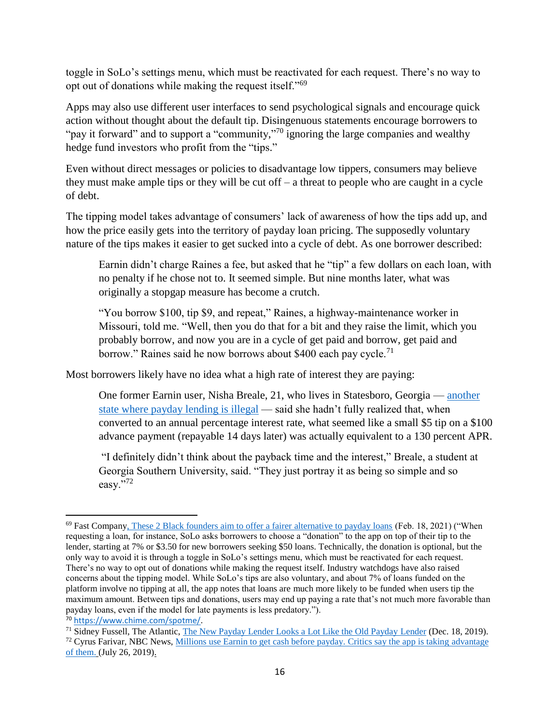toggle in SoLo's settings menu, which must be reactivated for each request. There's no way to opt out of donations while making the request itself."<sup>69</sup>

Apps may also use different user interfaces to send psychological signals and encourage quick action without thought about the default tip. Disingenuous statements encourage borrowers to "pay it forward" and to support a "community,"<sup>70</sup> ignoring the large companies and wealthy hedge fund investors who profit from the "tips."

Even without direct messages or policies to disadvantage low tippers, consumers may believe they must make ample tips or they will be cut off – a threat to people who are caught in a cycle of debt.

The tipping model takes advantage of consumers' lack of awareness of how the tips add up, and how the price easily gets into the territory of payday loan pricing. The supposedly voluntary nature of the tips makes it easier to get sucked into a cycle of debt. As one borrower described:

Earnin didn't charge Raines a fee, but asked that he "tip" a few dollars on each loan, with no penalty if he chose not to. It seemed simple. But nine months later, what was originally a stopgap measure has become a crutch.

"You borrow \$100, tip \$9, and repeat," Raines, a highway-maintenance worker in Missouri, told me. "Well, then you do that for a bit and they raise the limit, which you probably borrow, and now you are in a cycle of get paid and borrow, get paid and borrow." Raines said he now borrows about \$400 each pay cycle.<sup>71</sup>

Most borrowers likely have no idea what a high rate of interest they are paying:

One former Earnin user, Nisha Breale, 21, who lives in Statesboro, Georgia — [another](https://dbf.georgia.gov/payday-lending)  [state where payday lending is illegal](https://dbf.georgia.gov/payday-lending) — said she hadn't fully realized that, when converted to an annual percentage interest rate, what seemed like a small \$5 tip on a \$100 advance payment (repayable 14 days later) was actually equivalent to a 130 percent APR.

"I definitely didn't think about the payback time and the interest," Breale, a student at Georgia Southern University, said. "They just portray it as being so simple and so easy."72

<sup>70</sup> [https://www.chime.com/spotme/.](https://www.chime.com/spotme/) 

<sup>69</sup> Fast Compan[y, These 2 Black founders aim to offer a fairer alternative to payday loans](https://www.fastcompany.com/90605796/payday-loan-alternative-solo-funds) (Feb. 18, 2021) ("When requesting a loan, for instance, SoLo asks borrowers to choose a "donation" to the app on top of their tip to the lender, starting at 7% or \$3.50 for new borrowers seeking \$50 loans. Technically, the donation is optional, but the only way to avoid it is through a toggle in SoLo's settings menu, which must be reactivated for each request. There's no way to opt out of donations while making the request itself. Industry watchdogs have also raised concerns about the tipping model. While SoLo's tips are also voluntary, and about 7% of loans funded on the platform involve no tipping at all, the app notes that loans are much more likely to be funded when users tip the maximum amount. Between tips and donations, users may end up paying a rate that's not much more favorable than payday loans, even if the model for late payments is less predatory.").

<sup>&</sup>lt;sup>71</sup> Sidney Fussell, The Atlantic, [The New Payday Lender Looks a Lot Like the Old Payday Lender](https://www.theatlantic.com/technology/archive/2019/12/online-banking-lending-earnin-tip/603304/) (Dec. 18, 2019).

 $72$  Cyrus Farivar, NBC News, Millions use Earnin to get cash before payday. Critics say the app is taking advantage [of them.](https://www.nbcnews.com/tech/internet/millions-use-earnin-get-cash-payday-critics-say-app-taking-n1034071) (July 26, 2019).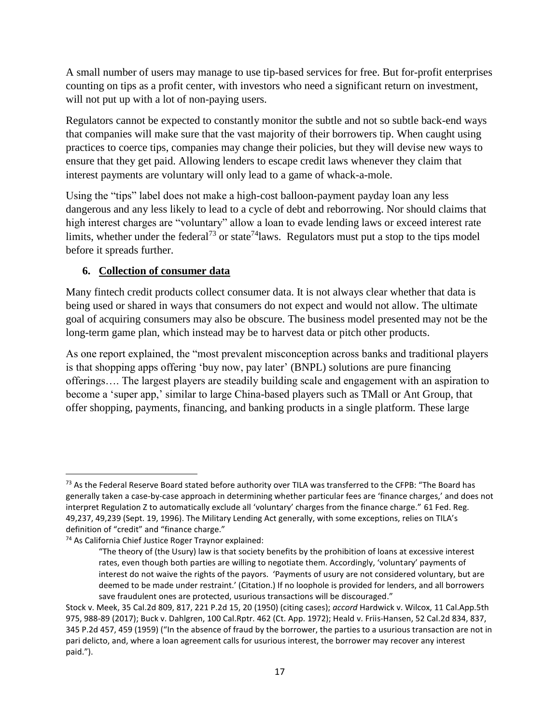A small number of users may manage to use tip-based services for free. But for-profit enterprises counting on tips as a profit center, with investors who need a significant return on investment, will not put up with a lot of non-paying users.

Regulators cannot be expected to constantly monitor the subtle and not so subtle back-end ways that companies will make sure that the vast majority of their borrowers tip. When caught using practices to coerce tips, companies may change their policies, but they will devise new ways to ensure that they get paid. Allowing lenders to escape credit laws whenever they claim that interest payments are voluntary will only lead to a game of whack-a-mole.

Using the "tips" label does not make a high-cost balloon-payment payday loan any less dangerous and any less likely to lead to a cycle of debt and reborrowing. Nor should claims that high interest charges are "voluntary" allow a loan to evade lending laws or exceed interest rate limits, whether under the federal<sup>73</sup> or state<sup>74</sup> laws. Regulators must put a stop to the tips model before it spreads further.

## **6. Collection of consumer data**

Many fintech credit products collect consumer data. It is not always clear whether that data is being used or shared in ways that consumers do not expect and would not allow. The ultimate goal of acquiring consumers may also be obscure. The business model presented may not be the long-term game plan, which instead may be to harvest data or pitch other products.

As one report explained, the "most prevalent misconception across banks and traditional players is that shopping apps offering 'buy now, pay later' (BNPL) solutions are pure financing offerings…. The largest players are steadily building scale and engagement with an aspiration to become a 'super app,' similar to large China-based players such as TMall or Ant Group, that offer shopping, payments, financing, and banking products in a single platform. These large

 $73$  As the Federal Reserve Board stated before authority over TILA was transferred to the CFPB: "The Board has generally taken a case-by-case approach in determining whether particular fees are 'finance charges,' and does not interpret Regulation Z to automatically exclude all 'voluntary' charges from the finance charge." 61 Fed. Reg. 49,237, 49,239 (Sept. 19, 1996). The Military Lending Act generally, with some exceptions, relies on TILA's definition of "credit" and "finance charge."

<sup>74</sup> As California Chief Justice Roger Traynor explained:

<sup>&</sup>quot;The theory of (the Usury) law is that society benefits by the prohibition of loans at excessive interest rates, even though both parties are willing to negotiate them. Accordingly, 'voluntary' payments of interest do not waive the rights of the payors. 'Payments of usury are not considered voluntary, but are deemed to be made under restraint.' (Citation.) If no loophole is provided for lenders, and all borrowers save fraudulent ones are protected, usurious transactions will be discouraged."

Stock v. Meek, 35 Cal.2d 809, 817, 221 P.2d 15, 20 (1950) (citing cases); *accord* Hardwick v. Wilcox, 11 Cal.App.5th 975, 988-89 (2017); Buck v. Dahlgren, 100 Cal.Rptr. 462 (Ct. App. 1972); Heald v. Friis-Hansen, 52 Cal.2d 834, 837, 345 P.2d 457, 459 (1959) ("In the absence of fraud by the borrower, the parties to a usurious transaction are not in pari delicto, and, where a loan agreement calls for usurious interest, the borrower may recover any interest paid.").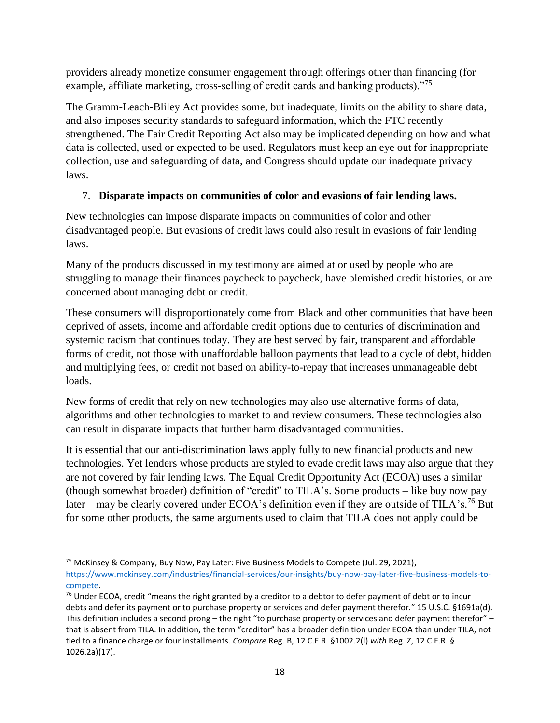providers already monetize consumer engagement through offerings other than financing (for example, affiliate marketing, cross-selling of credit cards and banking products)."<sup>75</sup>

The Gramm-Leach-Bliley Act provides some, but inadequate, limits on the ability to share data, and also imposes security standards to safeguard information, which the FTC recently strengthened. The Fair Credit Reporting Act also may be implicated depending on how and what data is collected, used or expected to be used. Regulators must keep an eye out for inappropriate collection, use and safeguarding of data, and Congress should update our inadequate privacy laws.

# 7. **Disparate impacts on communities of color and evasions of fair lending laws.**

New technologies can impose disparate impacts on communities of color and other disadvantaged people. But evasions of credit laws could also result in evasions of fair lending laws.

Many of the products discussed in my testimony are aimed at or used by people who are struggling to manage their finances paycheck to paycheck, have blemished credit histories, or are concerned about managing debt or credit.

These consumers will disproportionately come from Black and other communities that have been deprived of assets, income and affordable credit options due to centuries of discrimination and systemic racism that continues today. They are best served by fair, transparent and affordable forms of credit, not those with unaffordable balloon payments that lead to a cycle of debt, hidden and multiplying fees, or credit not based on ability-to-repay that increases unmanageable debt loads.

New forms of credit that rely on new technologies may also use alternative forms of data, algorithms and other technologies to market to and review consumers. These technologies also can result in disparate impacts that further harm disadvantaged communities.

It is essential that our anti-discrimination laws apply fully to new financial products and new technologies. Yet lenders whose products are styled to evade credit laws may also argue that they are not covered by fair lending laws. The Equal Credit Opportunity Act (ECOA) uses a similar (though somewhat broader) definition of "credit" to TILA's. Some products – like buy now pay later – may be clearly covered under ECOA's definition even if they are outside of TILA's.<sup>76</sup> But for some other products, the same arguments used to claim that TILA does not apply could be

 $\overline{\phantom{a}}$ <sup>75</sup> McKinsey & Company, Buy Now, Pay Later: Five Business Models to Compete (Jul. 29, 2021), [https://www.mckinsey.com/industries/financial-services/our-insights/buy-now-pay-later-five-business-models-to](https://www.mckinsey.com/industries/financial-services/our-insights/buy-now-pay-later-five-business-models-to-compete)[compete.](https://www.mckinsey.com/industries/financial-services/our-insights/buy-now-pay-later-five-business-models-to-compete)

 $76$  Under ECOA, credit "means the right granted by a creditor to a debtor to defer payment of debt or to incur debts and defer its payment or to purchase property or services and defer payment therefor." 15 U.S.C. §1691a(d). This definition includes a second prong – the right "to purchase property or services and defer payment therefor" – that is absent from TILA. In addition, the term "creditor" has a broader definition under ECOA than under TILA, not tied to a finance charge or four installments. *Compare* Reg. B, 12 C.F.R. §1002.2(l) *with* Reg. Z, 12 C.F.R. § 1026.2a)(17).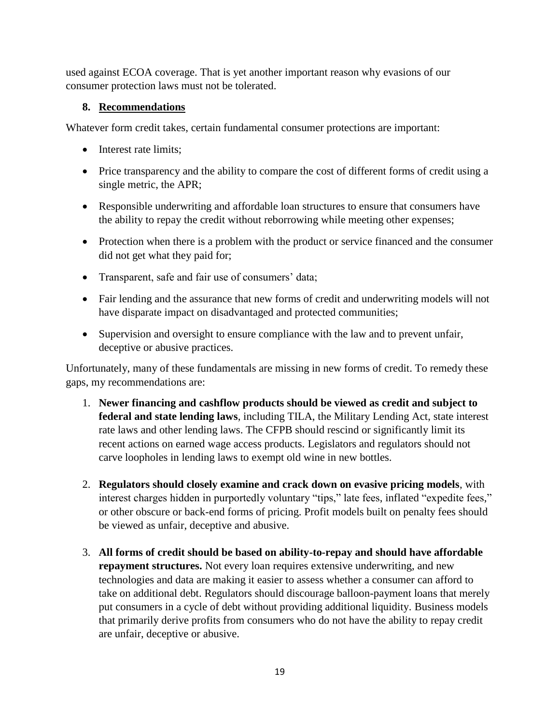used against ECOA coverage. That is yet another important reason why evasions of our consumer protection laws must not be tolerated.

#### **8. Recommendations**

Whatever form credit takes, certain fundamental consumer protections are important:

- Interest rate limits;
- Price transparency and the ability to compare the cost of different forms of credit using a single metric, the APR;
- Responsible underwriting and affordable loan structures to ensure that consumers have the ability to repay the credit without reborrowing while meeting other expenses;
- Protection when there is a problem with the product or service financed and the consumer did not get what they paid for;
- Transparent, safe and fair use of consumers' data;
- Fair lending and the assurance that new forms of credit and underwriting models will not have disparate impact on disadvantaged and protected communities;
- Supervision and oversight to ensure compliance with the law and to prevent unfair, deceptive or abusive practices.

Unfortunately, many of these fundamentals are missing in new forms of credit. To remedy these gaps, my recommendations are:

- 1. **Newer financing and cashflow products should be viewed as credit and subject to federal and state lending laws**, including TILA, the Military Lending Act, state interest rate laws and other lending laws. The CFPB should rescind or significantly limit its recent actions on earned wage access products. Legislators and regulators should not carve loopholes in lending laws to exempt old wine in new bottles.
- 2. **Regulators should closely examine and crack down on evasive pricing models**, with interest charges hidden in purportedly voluntary "tips," late fees, inflated "expedite fees," or other obscure or back-end forms of pricing. Profit models built on penalty fees should be viewed as unfair, deceptive and abusive.
- 3. **All forms of credit should be based on ability-to-repay and should have affordable repayment structures.** Not every loan requires extensive underwriting, and new technologies and data are making it easier to assess whether a consumer can afford to take on additional debt. Regulators should discourage balloon-payment loans that merely put consumers in a cycle of debt without providing additional liquidity. Business models that primarily derive profits from consumers who do not have the ability to repay credit are unfair, deceptive or abusive.